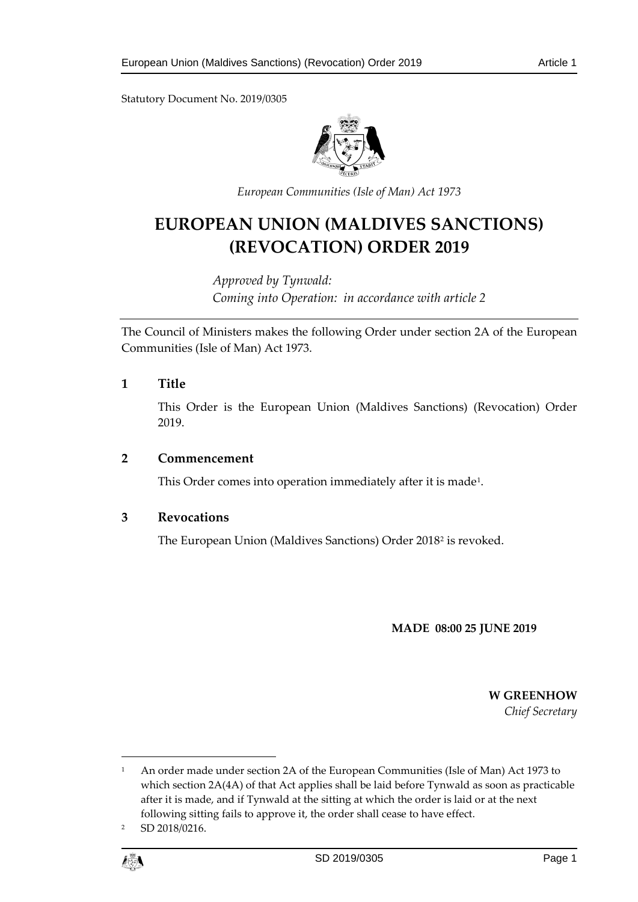Statutory Document No. 2019/0305



*European Communities (Isle of Man) Act 1973*

# **EUROPEAN UNION (MALDIVES SANCTIONS) (REVOCATION) ORDER 2019**

*Approved by Tynwald: Coming into Operation: in accordance with article 2*

The Council of Ministers makes the following Order under section 2A of the European Communities (Isle of Man) Act 1973.

## **1 Title**

This Order is the European Union (Maldives Sanctions) (Revocation) Order 2019.

### **2 Commencement**

This Order comes into operation immediately after it is made<sup>1</sup>.

## **3 Revocations**

The European Union (Maldives Sanctions) Order 2018[2](#page-0-1) is revoked.

### **MADE 08:00 25 JUNE 2019**

**W GREENHOW** *Chief Secretary*

<span id="page-0-1"></span><sup>2</sup> SD 2018/0216.



 $\overline{a}$ 

<span id="page-0-0"></span><sup>&</sup>lt;sup>1</sup> An order made under section 2A of the European Communities (Isle of Man) Act 1973 to which section 2A(4A) of that Act applies shall be laid before Tynwald as soon as practicable after it is made, and if Tynwald at the sitting at which the order is laid or at the next following sitting fails to approve it, the order shall cease to have effect.